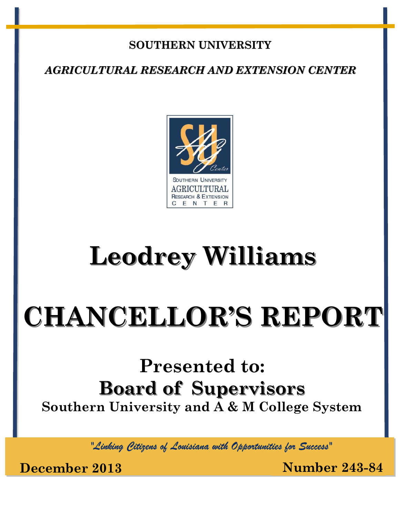## **SOUTHERN UNIVERSITY**

*AGRICULTURAL RESEARCH AND EXTENSION CENTER*



## **Leodrey Williams**

# **CHANCELLOR'S REPORT**

## **Presented to: Board of Supervisors Southern University and A & M College System**

*"Linking Citizens of Louisiana with Opportunities for Success"*

**December 2013 Number 243-84**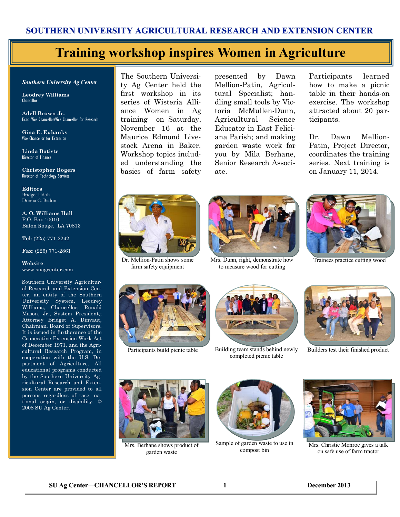#### **SOUTHERN UNIVERSITY AGRICULTURAL RESEARCH AND EXTENSION CENTER**

### **Training workshop inspires Women in Agriculture**

#### *Southern University Ag Center*

**Leodrey Williams**  Chancellor

**Adell Brown Jr.**  Exec. Vice Chancellor/Vice Chancellor for Research

**Gina E. Eubanks** Vice Chancellor for Extension

**Linda Batiste** Director of Finance

**Christopher Rogers** Director of Technology Services

**Editors** Bridget Udoh Donna C. Badon

**A. O. Williams Hall** P.O. Box 10010 Baton Rouge, LA 70813

**Tel**: (225) 771-2242

**Fax**: (225) 771-2861

**Website**: www.suagcenter.com

Southern University Agricultural Research and Extension Center, an entity of the Southern University System, Leodrey Williams, Chancellor; Ronald Mason, Jr., System President,; Attorney Bridget A. Dinvaut, Chairman, Board of Supervisors. It is issued in furtherance of the Cooperative Extension Work Act of December 1971, and the Agricultural Research Program, in cooperation with the U.S. Department of Agriculture. All educational programs conducted by the Southern University Agricultural Research and Extension Center are provided to all persons regardless of race, national origin, or disability. © 2008 SU Ag Center.

The Southern University Ag Center held the first workshop in its series of Wisteria Alliance Women in Ag training on Saturday, November 16 at the Maurice Edmond Livestock Arena in Baker. Workshop topics included understanding the basics of farm safety

presented by Dawn Mellion-Patin, Agricultural Specialist; handling small tools by Victoria McMullen-Dunn, Agricultural Science Educator in East Feliciana Parish; and making garden waste work for you by Mila Berhane, Senior Research Associate.

Participants learned how to make a picnic table in their hands-on exercise. The workshop attracted about 20 participants.

Dr. Dawn Mellion-Patin, Project Director, coordinates the training series. Next training is on January 11, 2014.



Dr. Mellion-Patin shows some farm safety equipment



Mrs. Dunn, right, demonstrate how to measure wood for cutting



Trainees practice cutting wood





Participants build picnic table Building team stands behind newly completed picnic table



Builders test their finished product



Mrs. Berhane shows product of garden waste



Sample of garden waste to use in compost bin



Mrs. Christie Monroe gives a talk on safe use of farm tractor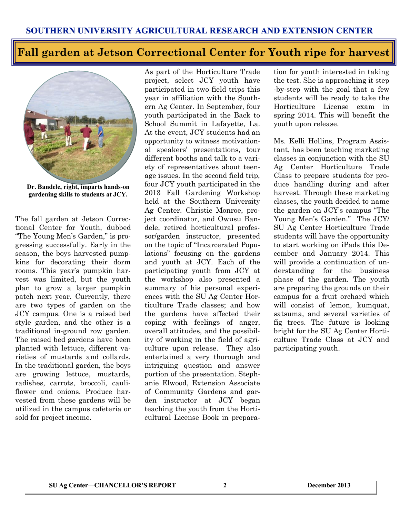### **Fall garden at Jetson Correctional Center for Youth ripe for harvest**



**Dr. Bandele, right, imparts hands-on gardening skills to students at JCY.**

The fall garden at Jetson Correctional Center for Youth, dubbed "The Young Men's Garden," is progressing successfully. Early in the season, the boys harvested pumpkins for decorating their dorm rooms. This year's pumpkin harvest was limited, but the youth plan to grow a larger pumpkin patch next year. Currently, there are two types of garden on the JCY campus. One is a raised bed style garden, and the other is a traditional in-ground row garden. The raised bed gardens have been planted with lettuce, different varieties of mustards and collards. In the traditional garden, the boys are growing lettuce, mustards, radishes, carrots, broccoli, cauliflower and onions. Produce harvested from these gardens will be utilized in the campus cafeteria or sold for project income.

As part of the Horticulture Trade project, select JCY youth have participated in two field trips this year in affiliation with the Southern Ag Center. In September, four youth participated in the Back to School Summit in Lafayette, La. At the event, JCY students had an opportunity to witness motivational speakers' presentations, tour different booths and talk to a variety of representatives about teenage issues. In the second field trip, four JCY youth participated in the 2013 Fall Gardening Workshop held at the Southern University Ag Center. Christie Monroe, project coordinator, and Owusu Bandele, retired horticultural professor/garden instructor, presented on the topic of "Incarcerated Populations" focusing on the gardens and youth at JCY. Each of the participating youth from JCY at the workshop also presented a summary of his personal experiences with the SU Ag Center Horticulture Trade classes; and how the gardens have affected their coping with feelings of anger, overall attitudes, and the possibility of working in the field of agriculture upon release. They also entertained a very thorough and intriguing question and answer portion of the presentation. Stephanie Elwood, Extension Associate of Community Gardens and garden instructor at JCY began teaching the youth from the Horticultural License Book in prepara-

tion for youth interested in taking the test. She is approaching it step -by-step with the goal that a few students will be ready to take the Horticulture License exam in spring 2014. This will benefit the youth upon release.

Ms. Kelli Hollins, Program Assistant, has been teaching marketing classes in conjunction with the SU Ag Center Horticulture Trade Class to prepare students for produce handling during and after harvest. Through these marketing classes, the youth decided to name the garden on JCY's campus "The Young Men's Garden." The JCY/ SU Ag Center Horticulture Trade students will have the opportunity to start working on iPads this December and January 2014. This will provide a continuation of understanding for the business phase of the garden. The youth are preparing the grounds on their campus for a fruit orchard which will consist of lemon, kumquat, satsuma, and several varieties of fig trees. The future is looking bright for the SU Ag Center Horticulture Trade Class at JCY and participating youth.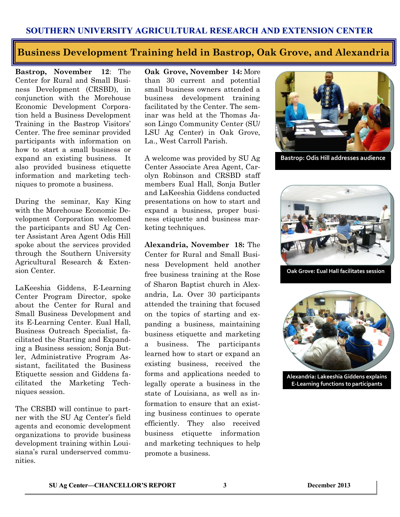#### **SOUTHERN UNIVERSITY AGRICULTURAL RESEARCH AND EXTENSION CENTER**

#### **Business Development Training held in Bastrop, Oak Grove, and Alexandria**

**Bastrop, November 12**: The Center for Rural and Small Business Development (CRSBD), in conjunction with the Morehouse Economic Development Corporation held a Business Development Training in the Bastrop Visitors' Center. The free seminar provided participants with information on how to start a small business or expand an existing business. It also provided business etiquette information and marketing techniques to promote a business.

During the seminar, Kay King with the Morehouse Economic Development Corporation welcomed the participants and SU Ag Center Assistant Area Agent Odis Hill spoke about the services provided through the Southern University Agricultural Research & Extension Center.

LaKeeshia Giddens, E-Learning Center Program Director, spoke about the Center for Rural and Small Business Development and its E-Learning Center. Eual Hall, Business Outreach Specialist, facilitated the Starting and Expanding a Business session; Sonja Butler, Administrative Program Assistant, facilitated the Business Etiquette session and Giddens facilitated the Marketing Techniques session.

The CRSBD will continue to partner with the SU Ag Center's field agents and economic development organizations to provide business development training within Louisiana's rural underserved communities.

**Oak Grove, November 14:** More than 30 current and potential small business owners attended a business development training facilitated by the Center. The seminar was held at the Thomas Jason Lingo Community Center (SU/ LSU Ag Center) in Oak Grove, La., West Carroll Parish.

A welcome was provided by SU Ag Center Associate Area Agent, Carolyn Robinson and CRSBD staff members Eual Hall, Sonja Butler and LaKeeshia Giddens conducted presentations on how to start and expand a business, proper business etiquette and business marketing techniques.

**Alexandria, November 18:** The Center for Rural and Small Business Development held another free business training at the Rose of Sharon Baptist church in Alexandria, La. Over 30 participants attended the training that focused on the topics of starting and expanding a business, maintaining business etiquette and marketing a business. The participants learned how to start or expand an existing business, received the forms and applications needed to legally operate a business in the state of Louisiana, as well as information to ensure that an existing business continues to operate efficiently. They also received business etiquette information and marketing techniques to help promote a business.



**Bastrop: Odis Hill addresses audience**



**Oak Grove: Eual Hall facilitates session**



**Alexandria: Lakeeshia Giddens explains E-Learning functions to participants**